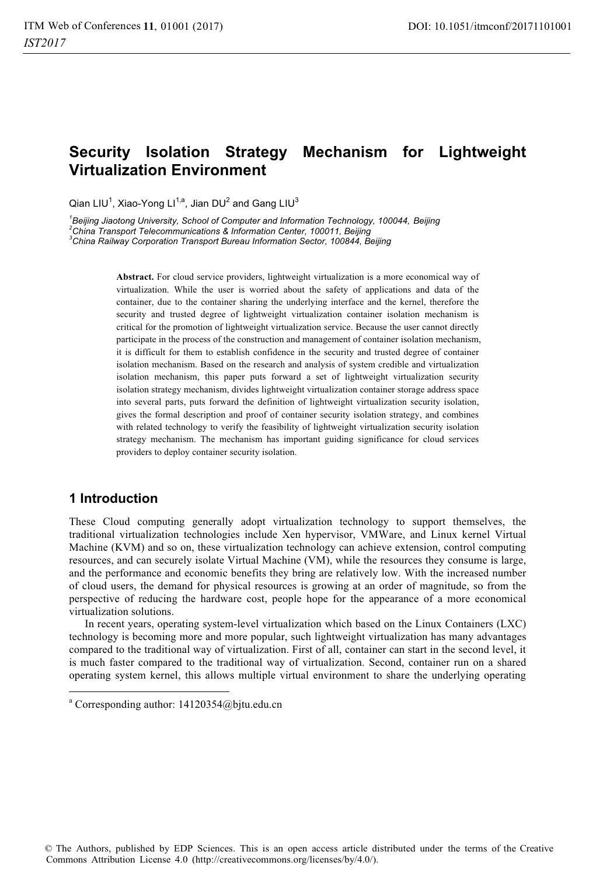# **Security Isolation Strategy Mechanism for Lightweight Virtualization Environment**

Qian LIU $^1$ , Xiao-Yong LI $^{1,a}$ , Jian DU $^2$  and Gang LIU $^3$ 

<sup>1</sup> Beijing Jiaotong University, School of Computer and Information Technology, 100044, Beijing 2<br><sup>2</sup>China Transport Telesemmunications & Information Center, 100011, Beijing

*China Transport Telecommunications & Information Center, 100011, Beijing* 

*3 China Railway Corporation Transport Bureau Information Sector, 100844, Beijing* 

**Abstract.** For cloud service providers, lightweight virtualization is a more economical way of virtualization. While the user is worried about the safety of applications and data of the container, due to the container sharing the underlying interface and the kernel, therefore the security and trusted degree of lightweight virtualization container isolation mechanism is critical for the promotion of lightweight virtualization service. Because the user cannot directly participate in the process of the construction and management of container isolation mechanism, it is difficult for them to establish confidence in the security and trusted degree of container isolation mechanism. Based on the research and analysis of system credible and virtualization isolation mechanism, this paper puts forward a set of lightweight virtualization security isolation strategy mechanism, divides lightweight virtualization container storage address space into several parts, puts forward the definition of lightweight virtualization security isolation, gives the formal description and proof of container security isolation strategy, and combines with related technology to verify the feasibility of lightweight virtualization security isolation strategy mechanism. The mechanism has important guiding significance for cloud services providers to deploy container security isolation.

## **1 Introduction**

1

These Cloud computing generally adopt virtualization technology to support themselves, the traditional virtualization technologies include Xen hypervisor, VMWare, and Linux kernel Virtual Machine (KVM) and so on, these virtualization technology can achieve extension, control computing resources, and can securely isolate Virtual Machine (VM), while the resources they consume is large, and the performance and economic benefits they bring are relatively low. With the increased number of cloud users, the demand for physical resources is growing at an order of magnitude, so from the perspective of reducing the hardware cost, people hope for the appearance of a more economical virtualization solutions.

In recent years, operating system-level virtualization which based on the Linux Containers (LXC) technology is becoming more and more popular, such lightweight virtualization has many advantages compared to the traditional way of virtualization. First of all, container can start in the second level, it is much faster compared to the traditional way of virtualization. Second, container run on a shared operating system kernel, this allows multiple virtual environment to share the underlying operating

a Corresponding author: 14120354@bjtu.edu.cn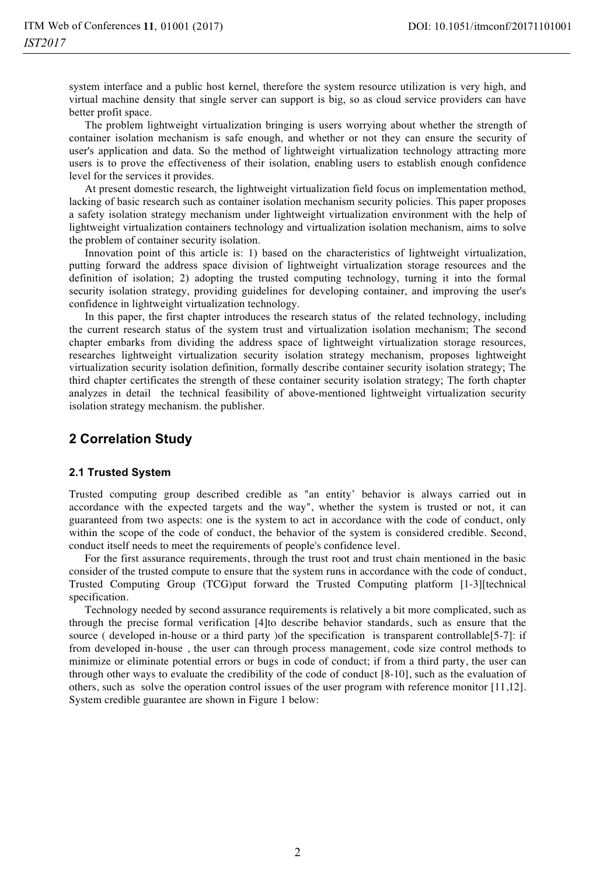system interface and a public host kernel, therefore the system resource utilization is very high, and virtual machine density that single server can support is big, so as cloud service providers can have better profit space.

j

The problem lightweight virtualization bringing is users worrying about whether the strength of container isolation mechanism is safe enough, and whether or not they can ensure the security of user's application and data. So the method of lightweight virtualization technology attracting more users is to prove the effectiveness of their isolation, enabling users to establish enough confidence level for the services it provides.

At present domestic research, the lightweight virtualization field focus on implementation method, lacking of basic research such as container isolation mechanism security policies. This paper proposes a safety isolation strategy mechanism under lightweight virtualization environment with the help of lightweight virtualization containers technology and virtualization isolation mechanism, aims to solve the problem of container security isolation.

Innovation point of this article is: 1) based on the characteristics of lightweight virtualization, putting forward the address space division of lightweight virtualization storage resources and the definition of isolation; 2) adopting the trusted computing technology, turning it into the formal security isolation strategy, providing guidelines for developing container, and improving the user's confidence in lightweight virtualization technology.

In this paper, the first chapter introduces the research status of the related technology, including the current research status of the system trust and virtualization isolation mechanism; The second chapter embarks from dividing the address space of lightweight virtualization storage resources, researches lightweight virtualization security isolation strategy mechanism, proposes lightweight virtualization security isolation definition, formally describe container security isolation strategy; The third chapter certificates the strength of these container security isolation strategy; The forth chapter analyzes in detail the technical feasibility of above-mentioned lightweight virtualization security isolation strategy mechanism. the publisher.

# **2 Correlation Study**

### **2.1 Trusted System**

Trusted computing group described credible as "an entity' behavior is always carried out in accordance with the expected targets and the way", whether the system is trusted or not, it can guaranteed from two aspects: one is the system to act in accordance with the code of conduct, only within the scope of the code of conduct, the behavior of the system is considered credible. Second, conduct itself needs to meet the requirements of people's confidence level.

For the first assurance requirements, through the trust root and trust chain mentioned in the basic consider of the trusted compute to ensure that the system runs in accordance with the code of conduct, Trusted Computing Group (TCG)put forward the Trusted Computing platform [1-3][technical specification.

Technology needed by second assurance requirements is relatively a bit more complicated, such as through the precise formal verification [4]to describe behavior standards, such as ensure that the source ( developed in-house or a third party ) of the specification is transparent controllable[5-7]: if from developed in-house , the user can through process management, code size control methods to minimize or eliminate potential errors or bugs in code of conduct; if from a third party, the user can through other ways to evaluate the credibility of the code of conduct [8-10], such as the evaluation of others, such as solve the operation control issues of the user program with reference monitor [11,12]. System credible guarantee are shown in Figure 1 below: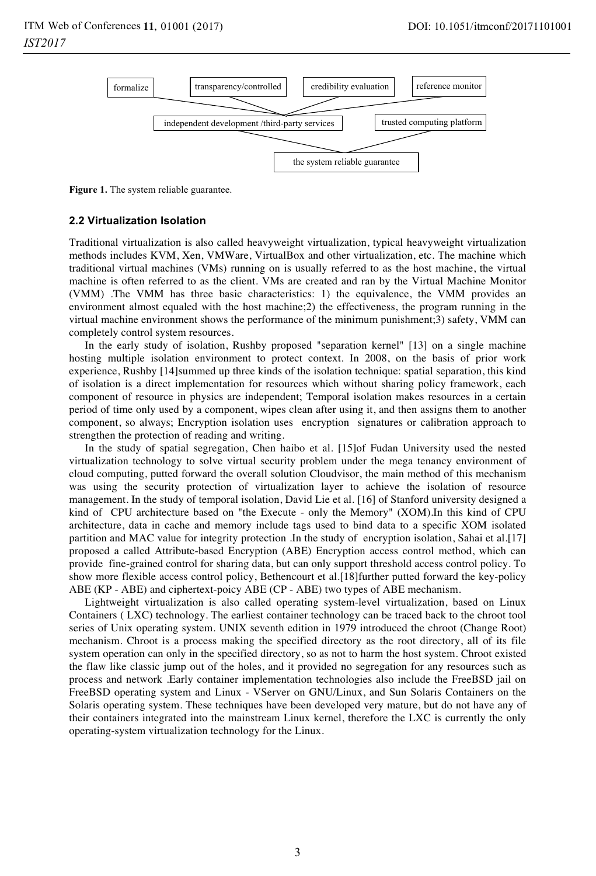

**Figure 1.** The system reliable guarantee.

### **2.2 Virtualization Isolation**

Traditional virtualization is also called heavyweight virtualization, typical heavyweight virtualization methods includes KVM, Xen, VMWare, VirtualBox and other virtualization, etc. The machine which traditional virtual machines (VMs) running on is usually referred to as the host machine, the virtual machine is often referred to as the client. VMs are created and ran by the Virtual Machine Monitor (VMM) .The VMM has three basic characteristics: 1) the equivalence, the VMM provides an environment almost equaled with the host machine;2) the effectiveness, the program running in the virtual machine environment shows the performance of the minimum punishment;3) safety, VMM can completely control system resources.

In the early study of isolation, Rushby proposed "separation kernel" [13] on a single machine hosting multiple isolation environment to protect context. In 2008, on the basis of prior work experience, Rushby [14]summed up three kinds of the isolation technique: spatial separation, this kind of isolation is a direct implementation for resources which without sharing policy framework, each component of resource in physics are independent; Temporal isolation makes resources in a certain period of time only used by a component, wipes clean after using it, and then assigns them to another component, so always; Encryption isolation uses encryption signatures or calibration approach to strengthen the protection of reading and writing.

In the study of spatial segregation, Chen haibo et al. [15]of Fudan University used the nested virtualization technology to solve virtual security problem under the mega tenancy environment of cloud computing, putted forward the overall solution Cloudvisor, the main method of this mechanism was using the security protection of virtualization layer to achieve the isolation of resource management. In the study of temporal isolation, David Lie et al. [16] of Stanford university designed a kind of CPU architecture based on "the Execute - only the Memory" (XOM).In this kind of CPU architecture, data in cache and memory include tags used to bind data to a specific XOM isolated partition and MAC value for integrity protection .In the study of encryption isolation, Sahai et al.[17] proposed a called Attribute-based Encryption (ABE) Encryption access control method, which can provide fine-grained control for sharing data, but can only support threshold access control policy. To show more flexible access control policy, Bethencourt et al.[18]further putted forward the key-policy ABE (KP - ABE) and ciphertext-poicy ABE (CP - ABE) two types of ABE mechanism.

Lightweight virtualization is also called operating system-level virtualization, based on Linux Containers ( LXC) technology. The earliest container technology can be traced back to the chroot tool series of Unix operating system. UNIX seventh edition in 1979 introduced the chroot (Change Root) mechanism. Chroot is a process making the specified directory as the root directory, all of its file system operation can only in the specified directory, so as not to harm the host system. Chroot existed the flaw like classic jump out of the holes, and it provided no segregation for any resources such as process and network .Early container implementation technologies also include the FreeBSD jail on FreeBSD operating system and Linux - VServer on GNU/Linux, and Sun Solaris Containers on the Solaris operating system. These techniques have been developed very mature, but do not have any of their containers integrated into the mainstream Linux kernel, therefore the LXC is currently the only operating-system virtualization technology for the Linux.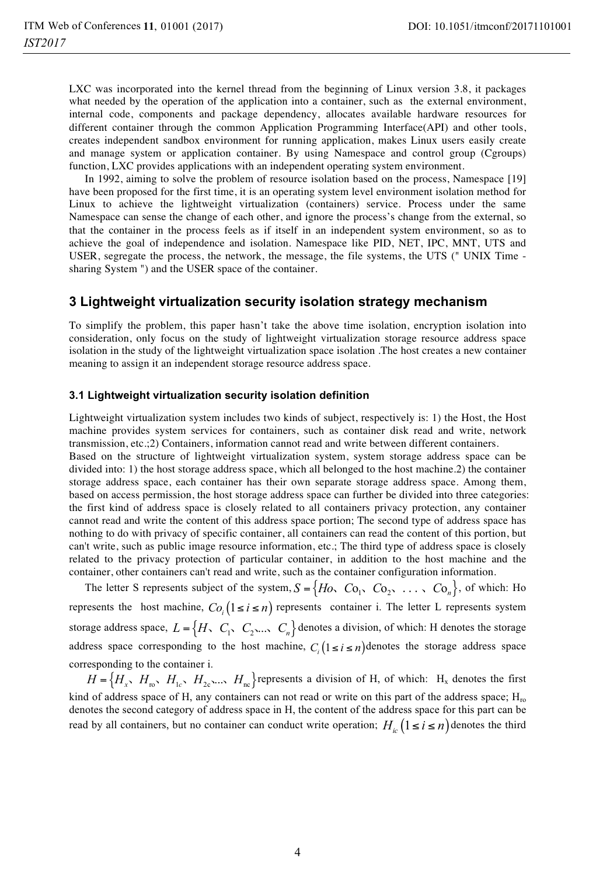LXC was incorporated into the kernel thread from the beginning of Linux version 3.8, it packages what needed by the operation of the application into a container, such as the external environment, internal code, components and package dependency, allocates available hardware resources for different container through the common Application Programming Interface(API) and other tools, creates independent sandbox environment for running application, makes Linux users easily create and manage system or application container. By using Namespace and control group (Cgroups) function, LXC provides applications with an independent operating system environment.

I

In 1992, aiming to solve the problem of resource isolation based on the process, Namespace [19] have been proposed for the first time, it is an operating system level environment isolation method for Linux to achieve the lightweight virtualization (containers) service. Process under the same Namespace can sense the change of each other, and ignore the process's change from the external, so that the container in the process feels as if itself in an independent system environment, so as to achieve the goal of independence and isolation. Namespace like PID, NET, IPC, MNT, UTS and USER, segregate the process, the network, the message, the file systems, the UTS (" UNIX Time sharing System ") and the USER space of the container.

## **3 Lightweight virtualization security isolation strategy mechanism**

To simplify the problem, this paper hasn't take the above time isolation, encryption isolation into consideration, only focus on the study of lightweight virtualization storage resource address space isolation in the study of the lightweight virtualization space isolation .The host creates a new container meaning to assign it an independent storage resource address space.

### **3.1 Lightweight virtualization security isolation definition**

Lightweight virtualization system includes two kinds of subject, respectively is: 1) the Host, the Host machine provides system services for containers, such as container disk read and write, network transmission, etc.;2) Containers, information cannot read and write between different containers. Based on the structure of lightweight virtualization system, system storage address space can be divided into: 1) the host storage address space, which all belonged to the host machine.2) the container storage address space, each container has their own separate storage address space. Among them, based on access permission, the host storage address space can further be divided into three categories: the first kind of address space is closely related to all containers privacy protection, any container cannot read and write the content of this address space portion; The second type of address space has nothing to do with privacy of specific container, all containers can read the content of this portion, but can't write, such as public image resource information, etc.; The third type of address space is closely related to the privacy protection of particular container, in addition to the host machine and the container, other containers can't read and write, such as the container configuration information.

The letter S represents subject of the system,  $S = \{H_0, C_0, C_2, \ldots, C_{0_n}\}$ , of which: Ho represents the host machine,  $Co_i (1 \le i \le n)$  represents container i. The letter L represents system storage address space,  $L = \{H, C_1, C_2, \dots, C_n\}$  denotes a division, of which: H denotes the storage address space corresponding to the host machine,  $C_i (1 \le i \le n)$  denotes the storage address space corresponding to the container i.

 $H = \{H_x, H_{\text{no}}, H_{\text{1c}}, H_{\text{2c}}, \dots, H_{\text{nc}}\}$  represents a division of H, of which: H<sub>x</sub> denotes the first kind of address space of H, any containers can not read or write on this part of the address space;  $H_{ro}$ denotes the second category of address space in H, the content of the address space for this part can be read by all containers, but no container can conduct write operation;  $H_{i}$   $(1 \le i \le n)$  denotes the third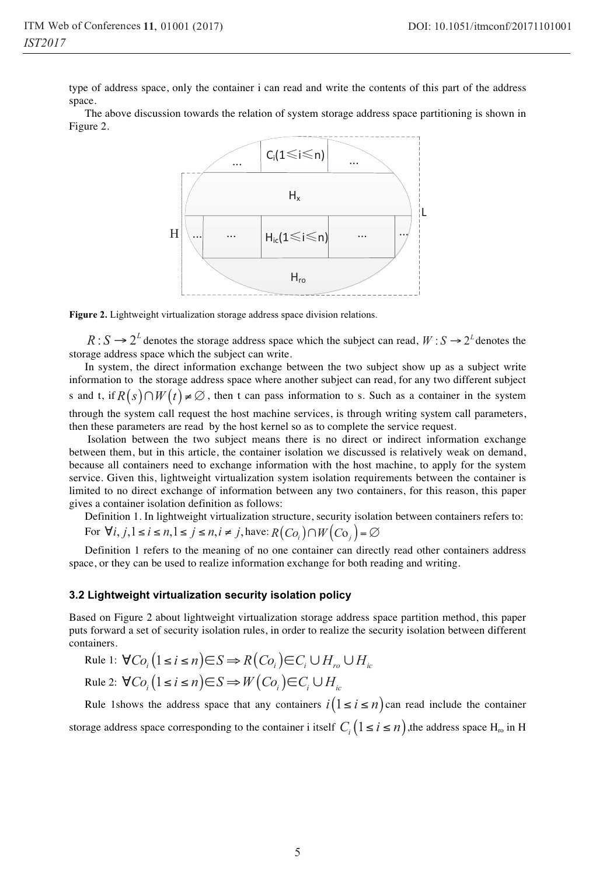type of address space, only the container i can read and write the contents of this part of the address space.

The above discussion towards the relation of system storage address space partitioning is shown in Figure 2.



**Figure 2.** Lightweight virtualization storage address space division relations.

 $R: S \rightarrow 2^L$  denotes the storage address space which the subject can read,  $W: S \rightarrow 2^L$  denotes the storage address space which the subject can write.

In system, the direct information exchange between the two subject show up as a subject write information to the storage address space where another subject can read, for any two different subject s and t, if  $R(s) \cap W(t) \neq \emptyset$ , then t can pass information to s. Such as a container in the system through the system call request the host machine services, is through writing system call parameters, then these parameters are read by the host kernel so as to complete the service request.

 Isolation between the two subject means there is no direct or indirect information exchange between them, but in this article, the container isolation we discussed is relatively weak on demand, because all containers need to exchange information with the host machine, to apply for the system service. Given this, lightweight virtualization system isolation requirements between the container is limited to no direct exchange of information between any two containers, for this reason, this paper gives a container isolation definition as follows:

Definition 1. In lightweight virtualization structure, security isolation between containers refers to: For  $\forall i, j, 1 \le i \le n, 1 \le j \le n, i \ne j$ , have:  $R(C_{O_i}) \cap W(C_{O_j}) = \emptyset$ 

Definition 1 refers to the meaning of no one container can directly read other containers address space, or they can be used to realize information exchange for both reading and writing.

#### **3.2 Lightweight virtualization security isolation policy**

Based on Figure 2 about lightweight virtualization storage address space partition method, this paper puts forward a set of security isolation rules, in order to realize the security isolation between different containers.

Rule 1: 
$$
\forall Co_i (1 \le i \le n) \in S \Rightarrow R(Co_i) \in C_i \cup H_{ro} \cup H_{ic}
$$
  
Rule 2:  $\forall Co_i (1 \le i \le n) \in S \Rightarrow W(Co_i) \in C_i \cup H_{ic}$ 

Rule 1shows the address space that any containers  $i(1 \le i \le n)$  can read include the container storage address space corresponding to the container i itself  $C_i$   $(1 \le i \le n)$ , the address space H<sub>ro</sub> in H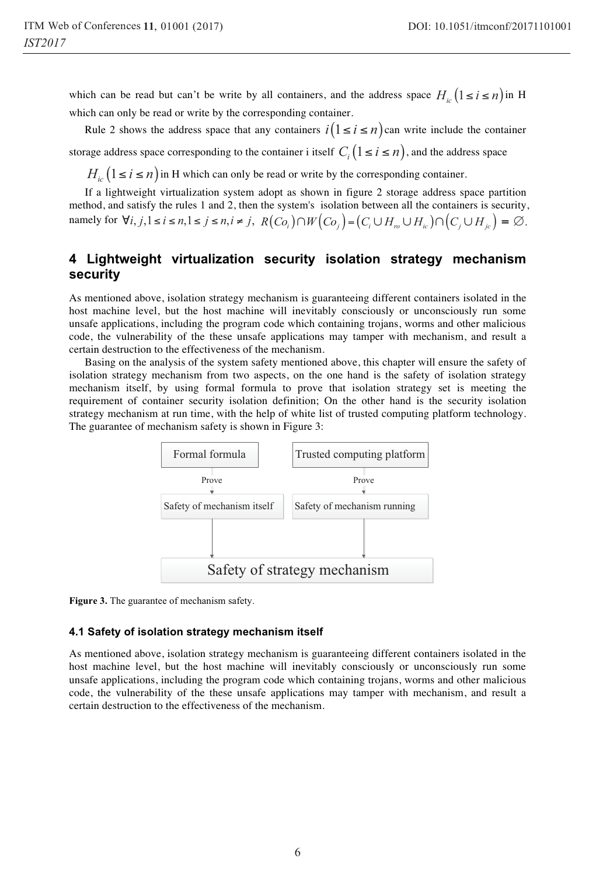which can be read but can't be write by all containers, and the address space  $H_{i}$   $(1 \le i \le n)$  in H which can only be read or write by the corresponding container.

Rule 2 shows the address space that any containers  $i(1 \le i \le n)$  can write include the container storage address space corresponding to the container i itself  $C_i$   $(1 \le i \le n)$ , and the address space

 $H_{i_c}$   $(1 \le i \le n)$  in H which can only be read or write by the corresponding container.

If a lightweight virtualization system adopt as shown in figure 2 storage address space partition method, and satisfy the rules 1 and 2, then the system's isolation between all the containers is security, namely for  $\forall i, j, 1 \le i \le n, 1 \le j \le n, i \ne j$ ,  $R(C_{O_i}) \cap W(C_{O_j}) = (C_i \cup H_{i} \cup H_{i}) \cap (C_j \cup H_{j} \cap H_{j}) = \emptyset$ .

# **4 Lightweight virtualization security isolation strategy mechanism security**

As mentioned above, isolation strategy mechanism is guaranteeing different containers isolated in the host machine level, but the host machine will inevitably consciously or unconsciously run some unsafe applications, including the program code which containing trojans, worms and other malicious code, the vulnerability of the these unsafe applications may tamper with mechanism, and result a certain destruction to the effectiveness of the mechanism.

Basing on the analysis of the system safety mentioned above, this chapter will ensure the safety of isolation strategy mechanism from two aspects, on the one hand is the safety of isolation strategy mechanism itself, by using formal formula to prove that isolation strategy set is meeting the requirement of container security isolation definition; On the other hand is the security isolation strategy mechanism at run time, with the help of white list of trusted computing platform technology. The guarantee of mechanism safety is shown in Figure 3:



**Figure 3.** The guarantee of mechanism safety.

### **4.1 Safety of isolation strategy mechanism itself**

As mentioned above, isolation strategy mechanism is guaranteeing different containers isolated in the host machine level, but the host machine will inevitably consciously or unconsciously run some unsafe applications, including the program code which containing trojans, worms and other malicious code, the vulnerability of the these unsafe applications may tamper with mechanism, and result a certain destruction to the effectiveness of the mechanism.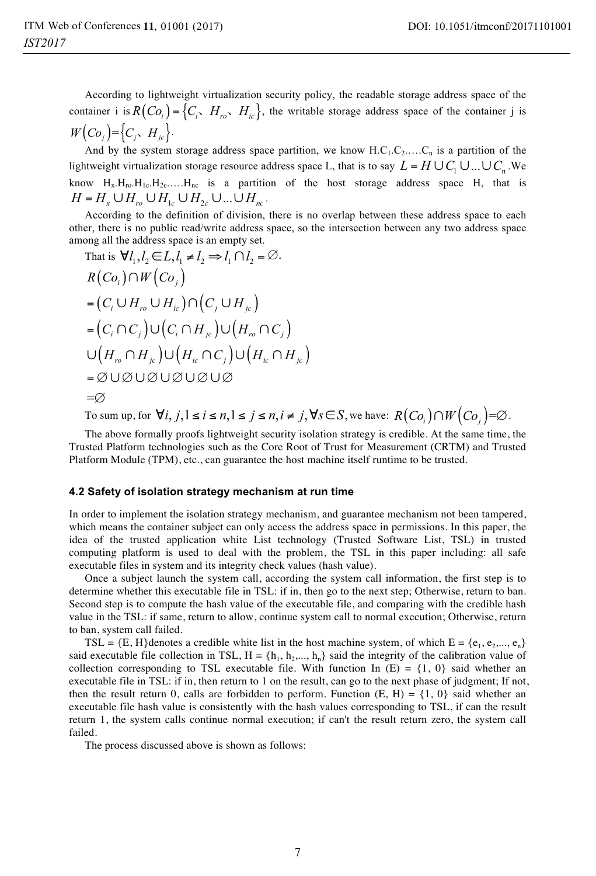According to lightweight virtualization security policy, the readable storage address space of the container i is  $R(C_{O_i}) = \{C_i, H_{ro}, H_{ic}\}$ , the writable storage address space of the container j is  $W\big(Co_j\big) = \Big\{C_j, H_{j_c}\Big\}.$ 

And by the system storage address space partition, we know  $H.C_1.C_2....C_n$  is a partition of the lightweight virtualization storage resource address space L, that is to say  $L = H \cup C_1 \cup ... \cup C_n$ . We know  $H_x.H_{1c}.H_{1c}.H_{2c}...H_{nc}$  is a partition of the host storage address space H, that is  $H = H_x \cup H_{r_0} \cup H_{1c} \cup H_{2c} \cup ... \cup H_{nc}$ .

According to the definition of division, there is no overlap between these address space to each other, there is no public read/write address space, so the intersection between any two address space among all the address space is an empty set.

That is 
$$
\forall l_1, l_2 \in L, l_1 \neq l_2 \Rightarrow l_1 \cap l_2 = \emptyset
$$
.  
\n
$$
R(Co_i) \cap W(Co_j)
$$
\n
$$
= (C_i \cup H_{ro} \cup H_{ic}) \cap (C_j \cup H_{jc})
$$
\n
$$
= (C_i \cap C_j) \cup (C_i \cap H_{jc}) \cup (H_{ro} \cap C_j)
$$
\n
$$
\cup (H_{ro} \cap H_{jc}) \cup (H_{ic} \cap C_j) \cup (H_{ic} \cap H_{jc})
$$
\n
$$
= \emptyset \cup \emptyset \cup \emptyset \cup \emptyset \cup \emptyset \cup \emptyset
$$
\n
$$
= \emptyset
$$

To sum up, for  $\forall i, j, 1 \le i \le n, 1 \le j \le n, i \ne j, \forall s \in S$ , we have:  $R(C_{O_i}) \cap W(C_{O_i}) = \emptyset$ .

The above formally proofs lightweight security isolation strategy is credible. At the same time, the Trusted Platform technologies such as the Core Root of Trust for Measurement (CRTM) and Trusted Platform Module (TPM), etc., can guarantee the host machine itself runtime to be trusted.

#### **4.2 Safety of isolation strategy mechanism at run time**

In order to implement the isolation strategy mechanism, and guarantee mechanism not been tampered, which means the container subject can only access the address space in permissions. In this paper, the idea of the trusted application white List technology (Trusted Software List, TSL) in trusted computing platform is used to deal with the problem, the TSL in this paper including: all safe executable files in system and its integrity check values (hash value).

Once a subject launch the system call, according the system call information, the first step is to determine whether this executable file in TSL: if in, then go to the next step; Otherwise, return to ban. Second step is to compute the hash value of the executable file, and comparing with the credible hash value in the TSL: if same, return to allow, continue system call to normal execution; Otherwise, return to ban, system call failed.

TSL = {E, H}denotes a credible white list in the host machine system, of which  $E = \{e_1, e_2, ..., e_n\}$ said executable file collection in TSL,  $H = \{h_1, h_2,..., h_n\}$  said the integrity of the calibration value of collection corresponding to TSL executable file. With function In  $(E) = \{1, 0\}$  said whether an executable file in TSL: if in, then return to 1 on the result, can go to the next phase of judgment; If not, then the result return 0, calls are forbidden to perform. Function  $(E, H) = \{1, 0\}$  said whether an executable file hash value is consistently with the hash values corresponding to TSL, if can the result return 1, the system calls continue normal execution; if can't the result return zero, the system call failed.

The process discussed above is shown as follows: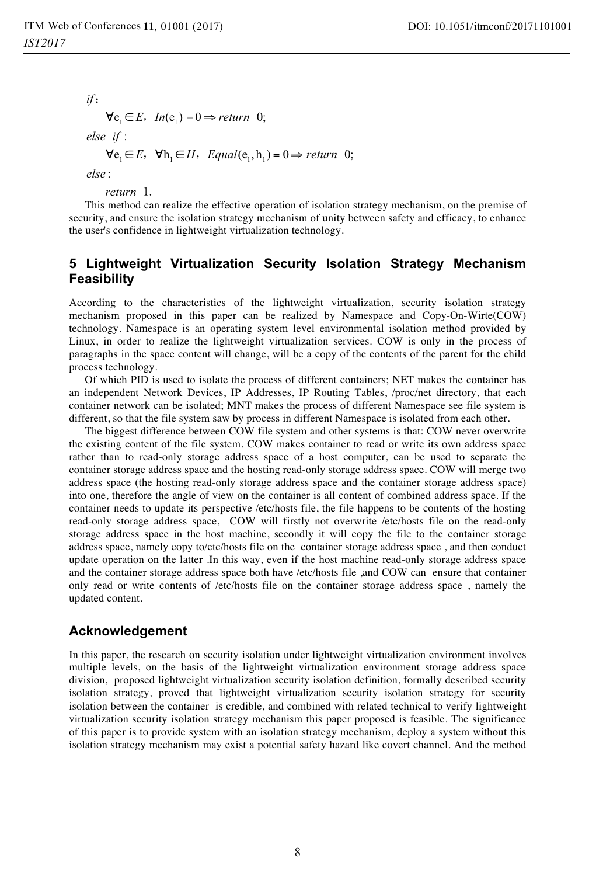*if*

 $\forall e_1 \in E$ ,  $In(e_1) = 0 \Rightarrow return 0$ ;  $\forall e_1 \in E$ ,  $\forall h_1 \in H$ ,  $Equal(e_1, h_1) = 0 \Rightarrow return 0$ ; : *else if*

: *else*

*return* 1.

This method can realize the effective operation of isolation strategy mechanism, on the premise of security, and ensure the isolation strategy mechanism of unity between safety and efficacy, to enhance the user's confidence in lightweight virtualization technology.

# **5 Lightweight Virtualization Security Isolation Strategy Mechanism Feasibility**

According to the characteristics of the lightweight virtualization, security isolation strategy mechanism proposed in this paper can be realized by Namespace and Copy-On-Wirte(COW) technology. Namespace is an operating system level environmental isolation method provided by Linux, in order to realize the lightweight virtualization services. COW is only in the process of paragraphs in the space content will change, will be a copy of the contents of the parent for the child process technology.

Of which PID is used to isolate the process of different containers; NET makes the container has an independent Network Devices, IP Addresses, IP Routing Tables, /proc/net directory, that each container network can be isolated; MNT makes the process of different Namespace see file system is different, so that the file system saw by process in different Namespace is isolated from each other.

The biggest difference between COW file system and other systems is that: COW never overwrite the existing content of the file system. COW makes container to read or write its own address space rather than to read-only storage address space of a host computer, can be used to separate the container storage address space and the hosting read-only storage address space. COW will merge two address space (the hosting read-only storage address space and the container storage address space) into one, therefore the angle of view on the container is all content of combined address space. If the container needs to update its perspective /etc/hosts file, the file happens to be contents of the hosting read-only storage address space, COW will firstly not overwrite /etc/hosts file on the read-only storage address space in the host machine, secondly it will copy the file to the container storage address space, namely copy to/etc/hosts file on the container storage address space , and then conduct update operation on the latter .In this way, even if the host machine read-only storage address space and the container storage address space both have /etc/hosts file ,and COW can ensure that container only read or write contents of /etc/hosts file on the container storage address space , namely the updated content.

## **Acknowledgement**

In this paper, the research on security isolation under lightweight virtualization environment involves multiple levels, on the basis of the lightweight virtualization environment storage address space division, proposed lightweight virtualization security isolation definition, formally described security isolation strategy, proved that lightweight virtualization security isolation strategy for security isolation between the container is credible, and combined with related technical to verify lightweight virtualization security isolation strategy mechanism this paper proposed is feasible. The significance of this paper is to provide system with an isolation strategy mechanism, deploy a system without this isolation strategy mechanism may exist a potential safety hazard like covert channel. And the method